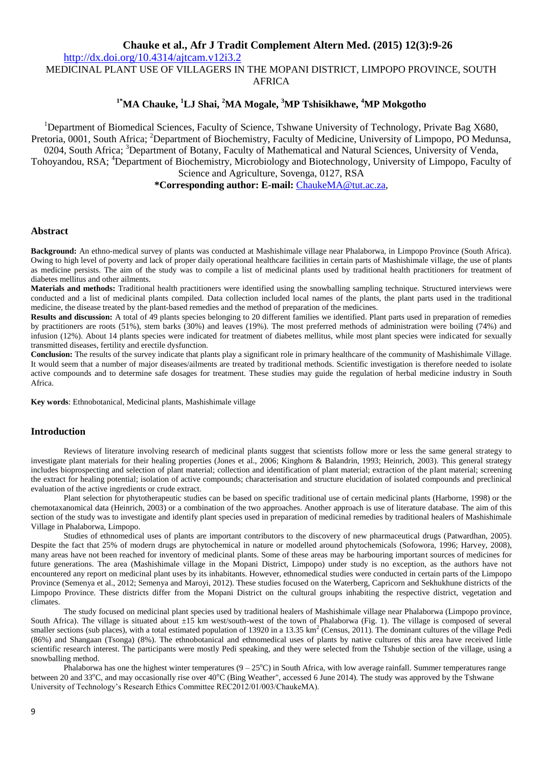<http://dx.doi.org/10.4314/ajtcam.v12i3.2>

MEDICINAL PLANT USE OF VILLAGERS IN THE MOPANI DISTRICT, LIMPOPO PROVINCE, SOUTH AFRICA

## **1\*MA Chauke, <sup>1</sup>LJ Shai, <sup>2</sup>MA Mogale, <sup>3</sup>MP Tshisikhawe, <sup>4</sup>MP Mokgotho**

<sup>1</sup>Department of Biomedical Sciences, Faculty of Science, Tshwane University of Technology, Private Bag X680, Pretoria, 0001, South Africa; <sup>2</sup>Department of Biochemistry, Faculty of Medicine, University of Limpopo, PO Medunsa, 0204, South Africa; <sup>3</sup>Department of Botany, Faculty of Mathematical and Natural Sciences, University of Venda, Tohoyandou, RSA; <sup>4</sup>Department of Biochemistry, Microbiology and Biotechnology, University of Limpopo, Faculty of Science and Agriculture, Sovenga, 0127, RSA

**\*Corresponding author: E-mail:** [ChaukeMA@tut.ac.za,](mailto:ChaukeMA@tut.ac.za)

#### **Abstract**

**Background:** An ethno-medical survey of plants was conducted at Mashishimale village near Phalaborwa, in Limpopo Province (South Africa). Owing to high level of poverty and lack of proper daily operational healthcare facilities in certain parts of Mashishimale village, the use of plants as medicine persists. The aim of the study was to compile a list of medicinal plants used by traditional health practitioners for treatment of diabetes mellitus and other ailments.

**Materials and methods:** Traditional health practitioners were identified using the snowballing sampling technique. Structured interviews were conducted and a list of medicinal plants compiled. Data collection included local names of the plants, the plant parts used in the traditional medicine, the disease treated by the plant-based remedies and the method of preparation of the medicines.

**Results and discussion:** A total of 49 plants species belonging to 20 different families we identified. Plant parts used in preparation of remedies by practitioners are roots (51%), stem barks (30%) and leaves (19%). The most preferred methods of administration were boiling (74%) and infusion (12%). About 14 plants species were indicated for treatment of diabetes mellitus, while most plant species were indicated for sexually transmitted diseases, fertility and erectile dysfunction.

**Conclusion:** The results of the survey indicate that plants play a significant role in primary healthcare of the community of Mashishimale Village. It would seem that a number of major diseases/ailments are treated by traditional methods. Scientific investigation is therefore needed to isolate active compounds and to determine safe dosages for treatment. These studies may guide the regulation of herbal medicine industry in South Africa.

**Key words**: Ethnobotanical, Medicinal plants, Mashishimale village

#### **Introduction**

Reviews of literature involving research of medicinal plants suggest that scientists follow more or less the same general strategy to investigate plant materials for their healing properties (Jones et al., 2006; Kinghorn & Balandrin, 1993; Heinrich, 2003). This general strategy includes bioprospecting and selection of plant material; collection and identification of plant material; extraction of the plant material; screening the extract for healing potential; isolation of active compounds; characterisation and structure elucidation of isolated compounds and preclinical evaluation of the active ingredients or crude extract.

Plant selection for phytotherapeutic studies can be based on specific traditional use of certain medicinal plants (Harborne, 1998) or the chemotaxanomical data (Heinrich, 2003) or a combination of the two approaches. Another approach is use of literature database. The aim of this section of the study was to investigate and identify plant species used in preparation of medicinal remedies by traditional healers of Mashishimale Village in Phalaborwa, Limpopo.

Studies of ethnomedical uses of plants are important contributors to the discovery of new pharmaceutical drugs (Patwardhan, 2005). Despite the fact that 25% of modern drugs are phytochemical in nature or modelled around phytochemicals (Sofowora, 1996; Harvey, 2008), many areas have not been reached for inventory of medicinal plants. Some of these areas may be harbouring important sources of medicines for future generations. The area (Mashishimale village in the Mopani District, Limpopo) under study is no exception, as the authors have not encountered any report on medicinal plant uses by its inhabitants. However, ethnomedical studies were conducted in certain parts of the Limpopo Province (Semenya et al., 2012; Semenya and Maroyi, 2012). These studies focused on the Waterberg, Capricorn and Sekhukhune districts of the Limpopo Province. These districts differ from the Mopani District on the cultural groups inhabiting the respective district, vegetation and climates.

The study focused on medicinal plant species used by traditional healers of Mashishimale village near Phalaborwa (Limpopo province, South Africa). The village is situated about ±15 km west/south-west of the town of Phalaborwa (Fig. 1). The village is composed of several smaller sections (sub places), with a total estimated population of 13920 in a 13.35  $\text{km}^2$  (Census, 2011). The dominant cultures of the village Pedi (86%) and Shangaan (Tsonga) (8%). The ethnobotanical and ethnomedical uses of plants by native cultures of this area have received little scientific research interest. The participants were mostly Pedi speaking, and they were selected from the Tshubje section of the village, using a snowballing method.

Phalaborwa has one the highest winter temperatures  $(9 - 25^{\circ}\text{C})$  in South Africa, with low average rainfall. Summer temperatures range between 20 and 33 $^{\circ}$ C, and may occasionally rise over  $40^{\circ}$ C (Bing Weather", accessed 6 June 2014). The study was approved by the Tshwane University of Technology's Research Ethics Committee REC2012/01/003/ChaukeMA).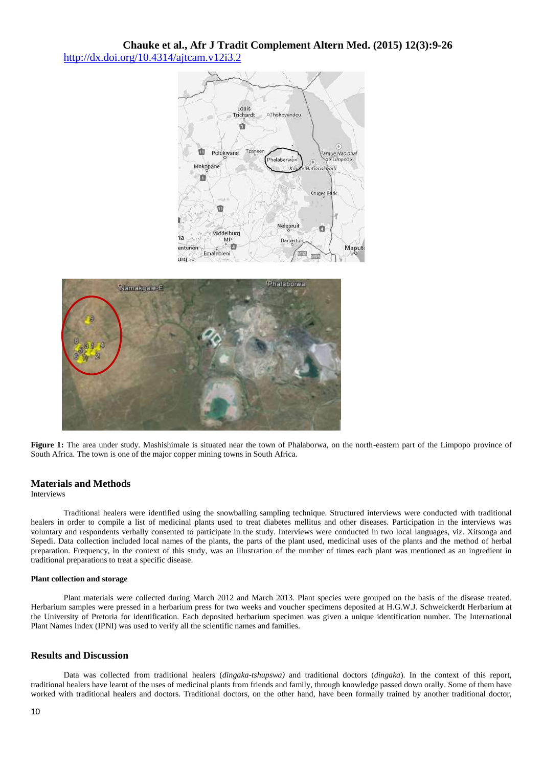**Chauke et al., Afr J Tradit Complement Altern Med. (2015) 12(3):9-26** <http://dx.doi.org/10.4314/ajtcam.v12i3.2>





**Figure 1:** The area under study. Mashishimale is situated near the town of Phalaborwa, on the north-eastern part of the Limpopo province of South Africa. The town is one of the major copper mining towns in South Africa.

## **Materials and Methods**

Interviews

Traditional healers were identified using the snowballing sampling technique. Structured interviews were conducted with traditional healers in order to compile a list of medicinal plants used to treat diabetes mellitus and other diseases. Participation in the interviews was voluntary and respondents verbally consented to participate in the study. Interviews were conducted in two local languages, viz. Xitsonga and Sepedi. Data collection included local names of the plants, the parts of the plant used, medicinal uses of the plants and the method of herbal preparation. Frequency, in the context of this study, was an illustration of the number of times each plant was mentioned as an ingredient in traditional preparations to treat a specific disease.

#### **Plant collection and storage**

Plant materials were collected during March 2012 and March 2013. Plant species were grouped on the basis of the disease treated. Herbarium samples were pressed in a herbarium press for two weeks and voucher specimens deposited at H.G.W.J. Schweickerdt Herbarium at the University of Pretoria for identification. Each deposited herbarium specimen was given a unique identification number. The International Plant Names Index (IPNI) was used to verify all the scientific names and families.

### **Results and Discussion**

Data was collected from traditional healers (*dingaka-tshupswa)* and traditional doctors (*dingaka*). In the context of this report, traditional healers have learnt of the uses of medicinal plants from friends and family, through knowledge passed down orally. Some of them have worked with traditional healers and doctors. Traditional doctors, on the other hand, have been formally trained by another traditional doctor,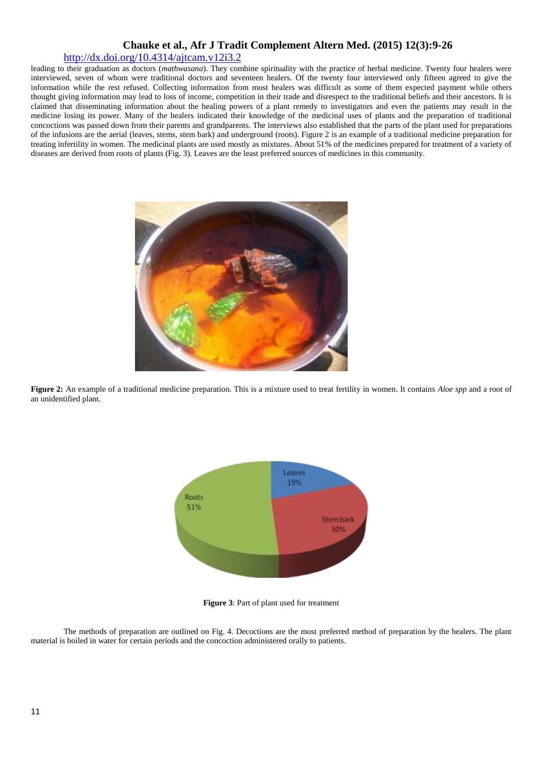## <http://dx.doi.org/10.4314/ajtcam.v12i3.2>

leading to their graduation as doctors (*mathwasana*). They combine spirituality with the practice of herbal medicine. Twenty four healers were interviewed, seven of whom were traditional doctors and seventeen healers. Of the twenty four interviewed only fifteen agreed to give the information while the rest refused. Collecting information from most healers was difficult as some of them expected payment while others thought giving information may lead to loss of income, competition in their trade and disrespect to the traditional beliefs and their ancestors. It is claimed that disseminating information about the healing powers of a plant remedy to investigators and even the patients may result in the medicine losing its power. Many of the healers indicated their knowledge of the medicinal uses of plants and the preparation of traditional concoctions was passed down from their parents and grandparents. The interviews also established that the parts of the plant used for preparations of the infusions are the aerial (leaves, stems, stem bark) and underground (roots). Figure 2 is an example of a traditional medicine preparation for treating infertility in women. The medicinal plants are used mostly as mixtures. About 51% of the medicines prepared for treatment of a variety of diseases are derived from roots of plants (Fig. 3). Leaves are the least preferred sources of medicines in this community.



**Figure 2:** An example of a traditional medicine preparation. This is a mixture used to treat fertility in women. It contains *Aloe spp* and a root of an unidentified plant.



**Figure 3**: Part of plant used for treatment

The methods of preparation are outlined on Fig. 4. Decoctions are the most preferred method of preparation by the healers. The plant material is boiled in water for certain periods and the concoction administered orally to patients.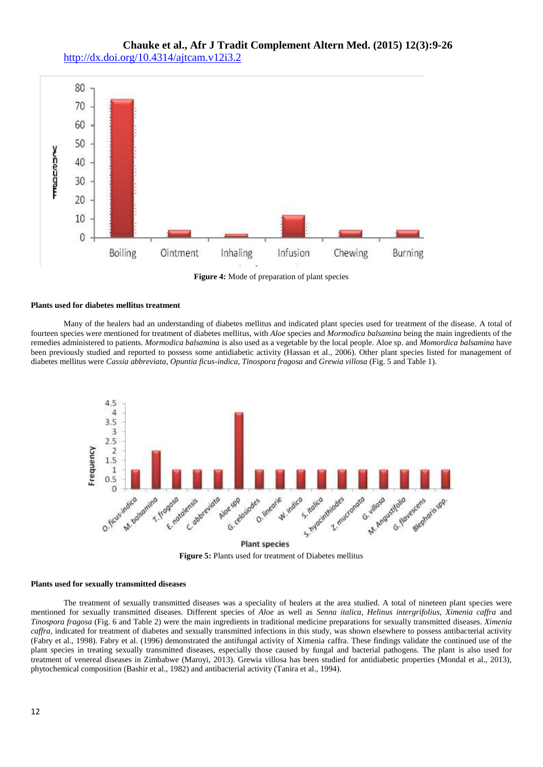## **Chauke et al., Afr J Tradit Complement Altern Med. (2015) 12(3):9-26** <http://dx.doi.org/10.4314/ajtcam.v12i3.2>



#### **Plants used for diabetes mellitus treatment**

Many of the healers had an understanding of diabetes mellitus and indicated plant species used for treatment of the disease. A total of fourteen species were mentioned for treatment of diabetes mellitus, with *Aloe* species and *Mormodica balsamina* being the main ingredients of the remedies administered to patients. *Mormodica balsamina* is also used as a vegetable by the local people. Aloe sp. and *Momordica balsamina* have been previously studied and reported to possess some antidiabetic activity (Hassan et al., 2006). Other plant species listed for management of diabetes mellitus were *Cassia abbreviata, Opuntia ficus-indica, Tinospora fragosa* and *Grewia villosa* (Fig. 5 and Table 1).



**Figure 5:** Plants used for treatment of Diabetes mellitus

#### **Plants used for sexually transmitted diseases**

The treatment of sexually transmitted diseases was a speciality of healers at the area studied. A total of nineteen plant species were mentioned for sexually transmitted diseases. Different species of *Aloe* as well as *Senna italica, Helinus intergrifolius, Ximenia caffra* and *Tinospora fragosa* (Fig. 6 and Table 2) were the main ingredients in traditional medicine preparations for sexually transmitted diseases. *Ximenia caffra,* indicated for treatment of diabetes and sexually transmitted infections in this study, was shown elsewhere to possess antibacterial activity (Fabry et al., 1998). Fabry et al. (1996) demonstrated the antifungal activity of Ximenia caffra. These findings validate the continued use of the plant species in treating sexually transmitted diseases, especially those caused by fungal and bacterial pathogens. The plant is also used for treatment of venereal diseases in Zimbabwe (Maroyi, 2013). Grewia villosa has been studied for antidiabetic properties (Mondal et al., 2013), phytochemical composition (Bashir et al., 1982) and antibacterial activity (Tanira et al., 1994).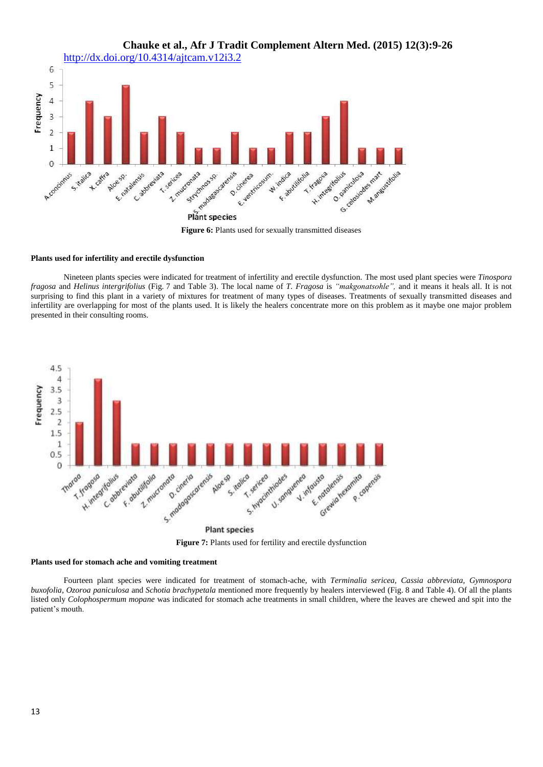

#### **Plants used for infertility and erectile dysfunction**

Nineteen plants species were indicated for treatment of infertility and erectile dysfunction. The most used plant species were *Tinospora fragosa* and *Helinus intergrifolius* (Fig. 7 and Table 3). The local name of *T. Fragosa* is *"makgonatsohle",* and it means it heals all. It is not surprising to find this plant in a variety of mixtures for treatment of many types of diseases. Treatments of sexually transmitted diseases and infertility are overlapping for most of the plants used. It is likely the healers concentrate more on this problem as it maybe one major problem presented in their consulting rooms.



**Figure 7:** Plants used for fertility and erectile dysfunction

#### **Plants used for stomach ache and vomiting treatment**

Fourteen plant species were indicated for treatment of stomach-ache, with *Terminalia sericea, Cassia abbreviata, Gymnospora buxofolia, Ozoroa paniculosa* and *Schotia brachypetala* mentioned more frequently by healers interviewed (Fig. 8 and Table 4). Of all the plants listed only *Colophospermum mopane* was indicated for stomach ache treatments in small children, where the leaves are chewed and spit into the patient's mouth.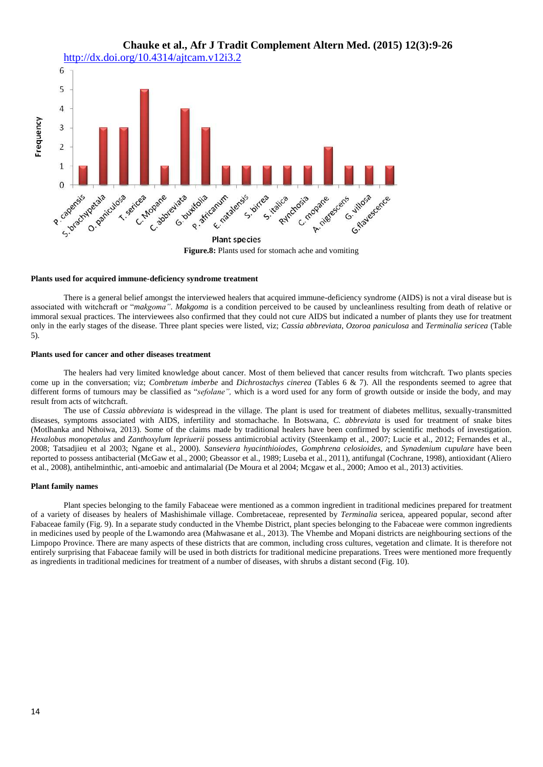

#### **Plants used for acquired immune-deficiency syndrome treatment**

There is a general belief amongst the interviewed healers that acquired immune-deficiency syndrome (AIDS) is not a viral disease but is associated with witchcraft or "*makgoma"*. *Makgoma* is a condition perceived to be caused by uncleanliness resulting from death of relative or immoral sexual practices. The interviewees also confirmed that they could not cure AIDS but indicated a number of plants they use for treatment only in the early stages of the disease. Three plant species were listed, viz; *Cassia abbreviata*, *Ozoroa paniculosa* and *Terminalia sericea* (Table 5)*.* 

#### **Plants used for cancer and other diseases treatment**

The healers had very limited knowledge about cancer. Most of them believed that cancer results from witchcraft. Two plants species come up in the conversation; viz; *Combretum imberbe* and *Dichrostachys cinerea* (Tables 6 & 7). All the respondents seemed to agree that different forms of tumours may be classified as "*sefolane",* which is a word used for any form of growth outside or inside the body, and may result from acts of witchcraft.

The use of *Cassia abbreviata* is widespread in the village. The plant is used for treatment of diabetes mellitus, sexually-transmitted diseases, symptoms associated with AIDS, infertility and stomachache. In Botswana, *C. abbreviata* is used for treatment of snake bites (Motlhanka and Nthoiwa, 2013). Some of the claims made by traditional healers have been confirmed by scientific methods of investigation. *Hexalobus monopetalus* and *Zanthoxylum lepriuerii* possess antimicrobial activity (Steenkamp et al., 2007; Lucie et al., 2012; Fernandes et al., 2008; Tatsadjieu et al 2003; Ngane et al., 2000). *Sanseviera hyacinthioiodes*, *Gomphrena celosioides,* and *Synadenium cupulare* have been reported to possess antibacterial (McGaw et al., 2000; Gbeassor et al., 1989; Luseba et al., 2011), antifungal (Cochrane, 1998), antioxidant (Aliero et al., 2008), antihelminthic, anti-amoebic and antimalarial (De Moura et al 2004; Mcgaw et al., 2000; Amoo et al., 2013) activities.

#### **Plant family names**

Plant species belonging to the family Fabaceae were mentioned as a common ingredient in traditional medicines prepared for treatment of a variety of diseases by healers of Mashishimale village. Combretaceae, represented by *Terminalia* sericea, appeared popular, second after Fabaceae family (Fig. 9). In a separate study conducted in the Vhembe District, plant species belonging to the Fabaceae were common ingredients in medicines used by people of the Lwamondo area (Mahwasane et al., 2013). The Vhembe and Mopani districts are neighbouring sections of the Limpopo Province. There are many aspects of these districts that are common, including cross cultures, vegetation and climate. It is therefore not entirely surprising that Fabaceae family will be used in both districts for traditional medicine preparations. Trees were mentioned more frequently as ingredients in traditional medicines for treatment of a number of diseases, with shrubs a distant second (Fig. 10).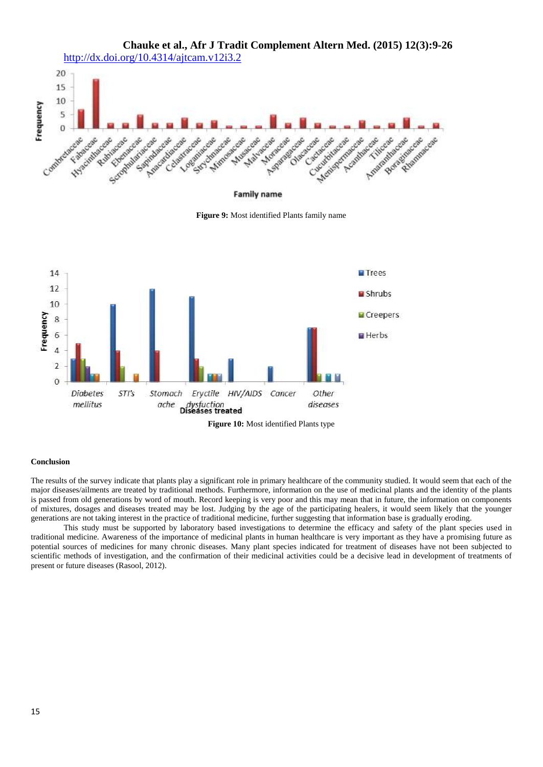

**Figure 9:** Most identified Plants family name



## **Conclusion**

The results of the survey indicate that plants play a significant role in primary healthcare of the community studied. It would seem that each of the major diseases/ailments are treated by traditional methods. Furthermore, information on the use of medicinal plants and the identity of the plants is passed from old generations by word of mouth. Record keeping is very poor and this may mean that in future, the information on components of mixtures, dosages and diseases treated may be lost. Judging by the age of the participating healers, it would seem likely that the younger generations are not taking interest in the practice of traditional medicine, further suggesting that information base is gradually eroding.

This study must be supported by laboratory based investigations to determine the efficacy and safety of the plant species used in traditional medicine. Awareness of the importance of medicinal plants in human healthcare is very important as they have a promising future as potential sources of medicines for many chronic diseases. Many plant species indicated for treatment of diseases have not been subjected to scientific methods of investigation, and the confirmation of their medicinal activities could be a decisive lead in development of treatments of present or future diseases (Rasool, 2012).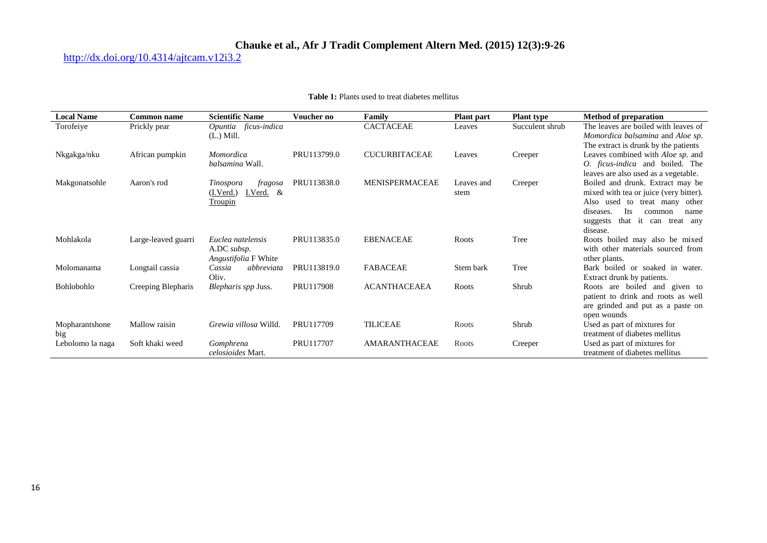## <http://dx.doi.org/10.4314/ajtcam.v12i3.2>

| <b>Local Name</b>     | <b>Common name</b>  | <b>Scientific Name</b>                                          | Voucher no  | Family               | <b>Plant part</b>  | <b>Plant type</b> | <b>Method of preparation</b>                                                                                                                                                                              |
|-----------------------|---------------------|-----------------------------------------------------------------|-------------|----------------------|--------------------|-------------------|-----------------------------------------------------------------------------------------------------------------------------------------------------------------------------------------------------------|
| Torofeiye             | Prickly pear        | Opuntia ficus-indica<br>$(L.)$ Mill.                            |             | CACTACEAE            | Leaves             | Succulent shrub   | The leaves are boiled with leaves of<br>Momordica balsamina and Aloe sp.<br>The extract is drunk by the patients                                                                                          |
| Nkgakga/nku           | African pumpkin     | <i>Momordica</i><br>balsamina Wall.                             | PRU113799.0 | <b>CUCURBITACEAE</b> | Leaves             | Creeper           | Leaves combined with <i>Aloe sp.</i> and<br>O. ficus-indica and boiled. The<br>leaves are also used as a vegetable.                                                                                       |
| Makgonatsohle         | Aaron's rod         | Tinospora<br>fragosa<br>I.Verd. &<br>(I.Verd.)<br>Troupin       | PRU113838.0 | MENISPERMACEAE       | Leaves and<br>stem | Creeper           | Boiled and drunk. Extract may be<br>mixed with tea or juice (very bitter).<br>Also used to treat many other<br><b>Its</b><br>diseases.<br>common<br>name<br>that it can treat any<br>suggests<br>disease. |
| Mohlakola             | Large-leaved guarri | Euclea natelensis<br>A.DC subsp.<br><i>Angustifolia</i> F White | PRU113835.0 | <b>EBENACEAE</b>     | Roots              | Tree              | Roots boiled may also be mixed<br>with other materials sourced from<br>other plants.                                                                                                                      |
| Molomanama            | Longtail cassia     | abbreviata<br>Cassia<br>Oliv.                                   | PRU113819.0 | <b>FABACEAE</b>      | Stem bark          | Tree              | Bark boiled or soaked in water.<br>Extract drunk by patients.                                                                                                                                             |
| Bohlobohlo            | Creeping Blepharis  | Blepharis spp Juss.                                             | PRU117908   | <b>ACANTHACEAEA</b>  | Roots              | Shrub             | Roots are boiled and given to<br>patient to drink and roots as well<br>are grinded and put as a paste on<br>open wounds                                                                                   |
| Mopharantshone<br>big | Mallow raisin       | Grewia villosa Willd.                                           | PRU117709   | <b>TILICEAE</b>      | Roots              | Shrub             | Used as part of mixtures for<br>treatment of diabetes mellitus                                                                                                                                            |
| Lebolomo la naga      | Soft khaki weed     | Gomphrena<br>celosioides Mart.                                  | PRU117707   | <b>AMARANTHACEAE</b> | Roots              | Creeper           | Used as part of mixtures for<br>treatment of diabetes mellitus                                                                                                                                            |

## **Table 1:** Plants used to treat diabetes mellitus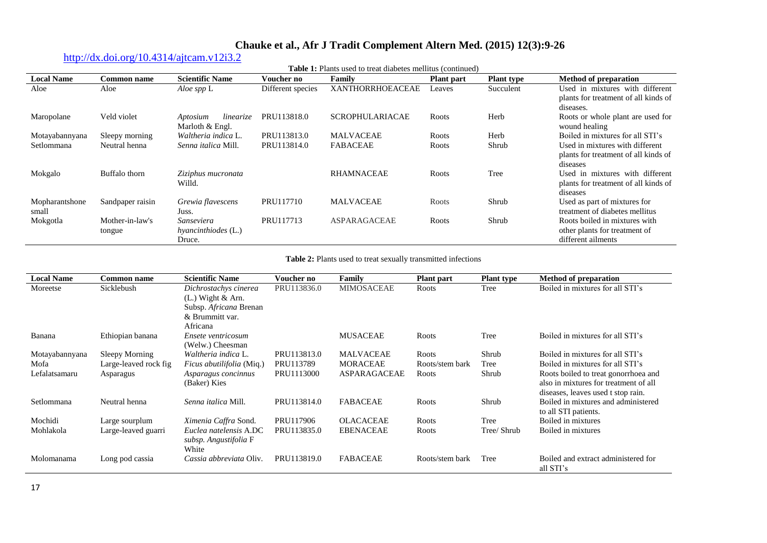#### **Table 1:** Plants used to treat diabetes mellitus (continued)<br>Voucher no Family Plant part **Local Name Common name Scientific Name Voucher no Family Plant part Plant type Method of preparation** Aloe Aloe *Aloe spp L* Different species XANTHORRHOEACEAE Leaves Succulent Used in mixtures with different plants for treatment of all kinds of diseases. Maropolane Veld violet *Aptosium linearize*  Marloth & Engl.<br>Waltheria indica L. PRU113818.0 SCROPHULARIACAE Roots Herb Roots or whole plant are used for wound healing Motayabannyana Sleepy morning *Waltheria indica* L. PRU113813.0 MALVACEAE Roots Herb Boiled in mixtures for all STI's Setlommana Neutral henna *Senna italica* Mill. PRU113814.0 FABACEAE Roots Shrub Used in mixtures with different plants for treatment of all kinds of diseases Mokgalo Buffalo thorn *Ziziphus mucronata*  Willd. RHAMNACEAE Roots Tree Used in mixtures with different plants for treatment of all kinds of diseases Mopharantshone small<br>Mokgotla Sandpaper raisin *Grewia flavescens*  Juss. PRU117710 MALVACEAE Roots Shrub Used as part of mixtures for treatment of diabetes mellitus Mother-in-law's tongue *Sanseviera hyancinthiodes* (L.) Druce. PRU117713 ASPARAGACEAE Roots Shrub Roots boiled in mixtures with other plants for treatment of different ailments

#### **Table 2:** Plants used to treat sexually transmitted infections

| <b>Local Name</b> | Common name            | <b>Scientific Name</b>                                                                                | Voucher no  | Family              | <b>Plant part</b> | <b>Plant type</b> | <b>Method of preparation</b>                                                                                        |
|-------------------|------------------------|-------------------------------------------------------------------------------------------------------|-------------|---------------------|-------------------|-------------------|---------------------------------------------------------------------------------------------------------------------|
| Moreetse          | Sicklebush             | Dichrostachys cinerea<br>$(L.)$ Wight & Arn.<br>Subsp. Africana Brenan<br>& Brummitt var.<br>Africana | PRU113836.0 | <b>MIMOSACEAE</b>   | Roots             | Tree              | Boiled in mixtures for all STI's                                                                                    |
| Banana            | Ethiopian banana       | Ensete ventricosum<br>(Welw.) Cheesman                                                                |             | <b>MUSACEAE</b>     | Roots             | Tree              | Boiled in mixtures for all STI's                                                                                    |
| Motayabannyana    | Sleepy Morning         | Waltheria indica L.                                                                                   | PRU113813.0 | <b>MALVACEAE</b>    | Roots             | Shrub             | Boiled in mixtures for all STI's                                                                                    |
| Mofa              | Large-leaved rock fig. | <i>Ficus abutilifolia</i> (Miq.)                                                                      | PRU113789   | <b>MORACEAE</b>     | Roots/stem bark   | Tree              | Boiled in mixtures for all STI's                                                                                    |
| Lefalatsamaru     | Asparagus              | Asparagus concinnus<br>(Baker) Kies                                                                   | PRU1113000  | <b>ASPARAGACEAE</b> | Roots             | Shrub             | Roots boiled to treat gonorrhoea and<br>also in mixtures for treatment of all<br>diseases, leaves used t stop rain. |
| Setlommana        | Neutral henna          | Senna italica Mill.                                                                                   | PRU113814.0 | <b>FABACEAE</b>     | Roots             | Shrub             | Boiled in mixtures and administered<br>to all STI patients.                                                         |
| Mochidi           | Large sourplum         | Ximenia Caffra Sond.                                                                                  | PRU117906   | <b>OLACACEAE</b>    | Roots             | Tree              | Boiled in mixtures                                                                                                  |
| Mohlakola         | Large-leaved guarri    | Euclea natelensis A.DC<br>subsp. Angustifolia F<br>White                                              | PRU113835.0 | <b>EBENACEAE</b>    | Roots             | Tree/ Shrub       | Boiled in mixtures                                                                                                  |
| Molomanama        | Long pod cassia        | Cassia abbreviata Oliv.                                                                               | PRU113819.0 | <b>FABACEAE</b>     | Roots/stem bark   | Tree              | Boiled and extract administered for<br>all STI's                                                                    |

<http://dx.doi.org/10.4314/ajtcam.v12i3.2>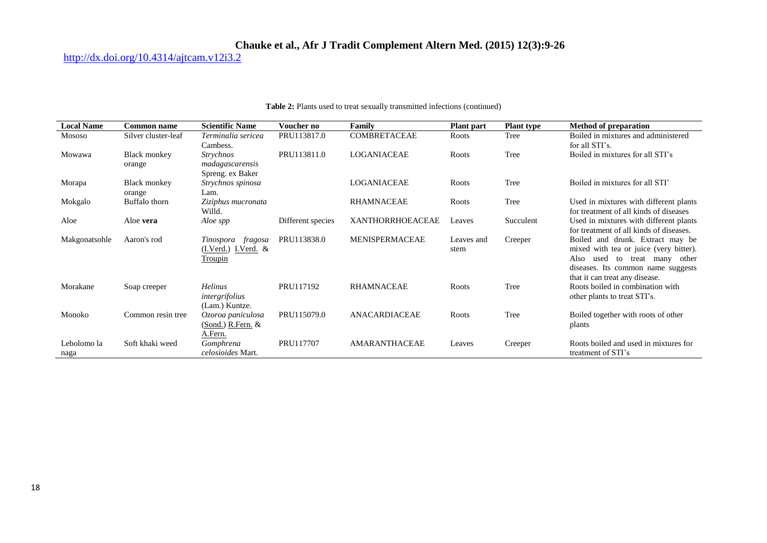## <http://dx.doi.org/10.4314/ajtcam.v12i3.2>

| <b>Local Name</b> | <b>Common name</b>  | <b>Scientific Name</b>         | Voucher no        | Family                  | <b>Plant part</b> | <b>Plant type</b> | <b>Method of preparation</b>                                |
|-------------------|---------------------|--------------------------------|-------------------|-------------------------|-------------------|-------------------|-------------------------------------------------------------|
| Mososo            | Silver cluster-leaf | Terminalia sericea             | PRU113817.0       | COMBRETACEAE            | Roots             | Tree              | Boiled in mixtures and administered                         |
|                   |                     | Cambess.                       |                   |                         |                   |                   | for all STI's.                                              |
| Mowawa            | <b>Black monkey</b> | <i>Strychnos</i>               | PRU113811.0       | LOGANIACEAE             | Roots             | Tree              | Boiled in mixtures for all STI's                            |
|                   | orange              | madagascarensis                |                   |                         |                   |                   |                                                             |
|                   |                     | Spreng. ex Baker               |                   |                         |                   |                   |                                                             |
| Morapa            | <b>Black monkey</b> | Strychnos spinosa              |                   | <b>LOGANIACEAE</b>      | Roots             | Tree              | Boiled in mixtures for all STI'                             |
|                   | orange              | Lam.                           |                   |                         |                   |                   |                                                             |
| Mokgalo           | Buffalo thorn       | Ziziphus mucronata             |                   | <b>RHAMNACEAE</b>       | Roots             | Tree              | Used in mixtures with different plants                      |
|                   |                     | Willd.                         |                   |                         |                   |                   | for treatment of all kinds of diseases                      |
| Aloe              | Aloe vera           | Aloe spp                       | Different species | <b>XANTHORRHOEACEAE</b> | Leaves            | Succulent         | Used in mixtures with different plants                      |
|                   |                     |                                |                   |                         |                   |                   | for treatment of all kinds of diseases.                     |
| Makgonatsohle     | Aaron's rod         | Tinospora fragosa              | PRU113838.0       | MENISPERMACEAE          | Leaves and        | Creeper           | Boiled and drunk. Extract may be                            |
|                   |                     | $(I.Verd.)$ I.Verd. &          |                   |                         | stem              |                   | mixed with tea or juice (very bitter).                      |
|                   |                     | Troupin                        |                   |                         |                   |                   | used to treat many<br>Also<br>other                         |
|                   |                     |                                |                   |                         |                   |                   | diseases. Its common name suggests                          |
|                   |                     |                                |                   |                         |                   |                   | that it can treat any disease.                              |
| Morakane          | Soap creeper        | <b>Helinus</b>                 | PRU117192         | <b>RHAMNACEAE</b>       | Roots             | Tree              | Roots boiled in combination with                            |
|                   |                     | intergrifolius                 |                   |                         |                   |                   | other plants to treat STI's.                                |
|                   |                     | (Lam.) Kuntze.                 |                   |                         |                   | Tree              |                                                             |
| Monoko            | Common resin tree   | Ozoroa paniculosa              | PRU115079.0       | ANACARDIACEAE           | Roots             |                   | Boiled together with roots of other                         |
|                   |                     | $(Sond.)$ R.Fern. $&$          |                   |                         |                   |                   | plants                                                      |
|                   |                     | A.Fern.                        | PRU117707         | AMARANTHACEAE           |                   |                   |                                                             |
| Lebolomo la       | Soft khaki weed     | Gomphrena<br>celosioides Mart. |                   |                         | Leaves            | Creeper           | Roots boiled and used in mixtures for<br>treatment of STI's |
| naga              |                     |                                |                   |                         |                   |                   |                                                             |

Table 2: Plants used to treat sexually transmitted infections (continued)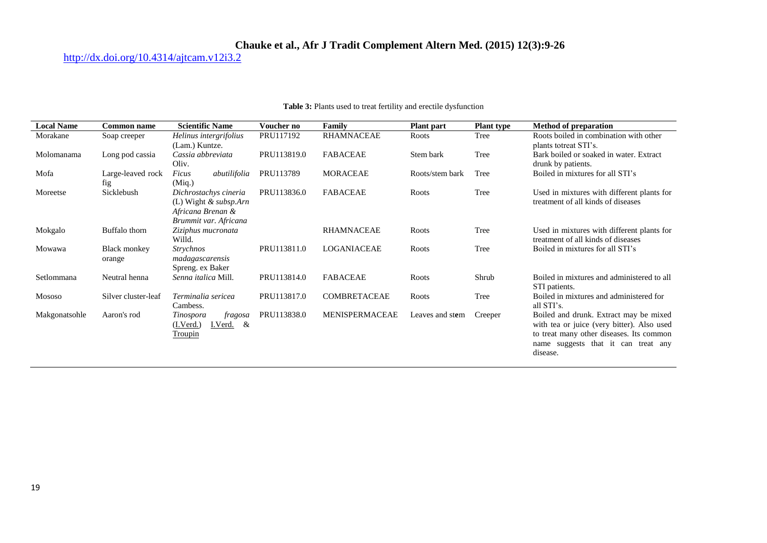## <http://dx.doi.org/10.4314/ajtcam.v12i3.2>

| <b>Local Name</b> | <b>Common name</b>  | <b>Scientific Name</b>       | Voucher no  | Family            | <b>Plant part</b> | <b>Plant type</b> | <b>Method of preparation</b>               |
|-------------------|---------------------|------------------------------|-------------|-------------------|-------------------|-------------------|--------------------------------------------|
| Morakane          | Soap creeper        | Helinus intergrifolius       | PRU117192   | <b>RHAMNACEAE</b> | Roots             | Tree              | Roots boiled in combination with other     |
|                   |                     | (Lam.) Kuntze.               |             |                   |                   |                   | plants totreat STI's.                      |
| Molomanama        | Long pod cassia     | Cassia abbreviata            | PRU113819.0 | <b>FABACEAE</b>   | Stem bark         | Tree              | Bark boiled or soaked in water. Extract    |
|                   |                     | Oliv.                        |             |                   |                   |                   | drunk by patients.                         |
| Mofa              | Large-leaved rock   | Ficus<br>abutilifolia        | PRU113789   | <b>MORACEAE</b>   | Roots/stem bark   | Tree              | Boiled in mixtures for all STI's           |
|                   | fig                 | (Miq.)                       |             |                   |                   |                   |                                            |
| Moreetse          | Sicklebush          | Dichrostachys cineria        | PRU113836.0 | <b>FABACEAE</b>   | Roots             | Tree              | Used in mixtures with different plants for |
|                   |                     | (L) Wight $\&subsp. Arn$     |             |                   |                   |                   | treatment of all kinds of diseases         |
|                   |                     | Africana Brenan &            |             |                   |                   |                   |                                            |
|                   | Buffalo thorn       | Brummit var. Africana        |             | <b>RHAMNACEAE</b> | Roots             | Tree              | Used in mixtures with different plants for |
| Mokgalo           |                     | Ziziphus mucronata<br>Willd. |             |                   |                   |                   | treatment of all kinds of diseases         |
| Mowawa            | Black monkey        | <i>Strychnos</i>             | PRU113811.0 | LOGANIACEAE       | Roots             | Tree              | Boiled in mixtures for all STI's           |
|                   | orange              | madagascarensis              |             |                   |                   |                   |                                            |
|                   |                     | Spreng. ex Baker             |             |                   |                   |                   |                                            |
| Setlommana        | Neutral henna       | Senna italica Mill.          | PRU113814.0 | <b>FABACEAE</b>   | Roots             | Shrub             | Boiled in mixtures and administered to all |
|                   |                     |                              |             |                   |                   |                   | STI patients.                              |
| <b>Mososo</b>     | Silver cluster-leaf | Terminalia sericea           | PRU113817.0 | COMBRETACEAE      | Roots             | Tree              | Boiled in mixtures and administered for    |
|                   |                     | Cambess.                     |             |                   |                   |                   | all STI's.                                 |
| Makgonatsohle     | Aaron's rod         | fragosa<br>Tinospora         | PRU113838.0 | MENISPERMACEAE    | Leaves and stem   | Creeper           | Boiled and drunk. Extract may be mixed     |
|                   |                     | I.Verd. &<br>(I.Verd.)       |             |                   |                   |                   | with tea or juice (very bitter). Also used |
|                   |                     | Troupin                      |             |                   |                   |                   | to treat many other diseases. Its common   |
|                   |                     |                              |             |                   |                   |                   | name suggests that it can treat any        |
|                   |                     |                              |             |                   |                   |                   | disease.                                   |

**Table 3:** Plants used to treat fertility and erectile dysfunction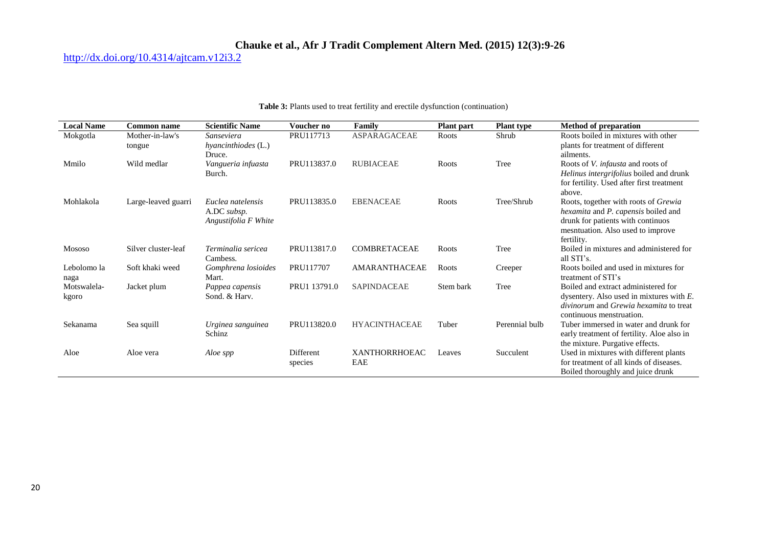<http://dx.doi.org/10.4314/ajtcam.v12i3.2>

| <b>Local Name</b>    | <b>Common name</b>        | <b>Scientific Name</b>                                   | Voucher no           | Family                      | <b>Plant part</b> | <b>Plant type</b> | <b>Method of preparation</b>                                                                                                                                           |
|----------------------|---------------------------|----------------------------------------------------------|----------------------|-----------------------------|-------------------|-------------------|------------------------------------------------------------------------------------------------------------------------------------------------------------------------|
| Mokgotla             | Mother-in-law's<br>tongue | Sanseviera<br>hyancinthiodes (L.)<br>Druce.              | PRU117713            | ASPARAGACEAE                | Roots             | Shrub             | Roots boiled in mixtures with other<br>plants for treatment of different<br>ailments.                                                                                  |
| Mmilo                | Wild medlar               | Vangueria infuasta<br>Burch.                             | PRU113837.0          | <b>RUBIACEAE</b>            | Roots             | Tree              | Roots of <i>V. infausta</i> and roots of<br>Helinus intergrifolius boiled and drunk<br>for fertility. Used after first treatment<br>above.                             |
| Mohlakola            | Large-leaved guarri       | Euclea natelensis<br>A.DC subsp.<br>Angustifolia F White | PRU113835.0          | <b>EBENACEAE</b>            | Roots             | Tree/Shrub        | Roots, together with roots of Grewia<br>hexamita and P. capensis boiled and<br>drunk for patients with continuos<br>mesntuation. Also used to improve<br>fertility.    |
| <b>Mososo</b>        | Silver cluster-leaf       | Terminalia sericea<br>Cambess.                           | PRU113817.0          | COMBRETACEAE                | Roots             | Tree              | Boiled in mixtures and administered for<br>all STI's.                                                                                                                  |
| Lebolomo la<br>naga  | Soft khaki weed           | Gomphrena losioides<br>Mart.                             | PRU117707            | <b>AMARANTHACEAE</b>        | Roots             | Creeper           | Roots boiled and used in mixtures for<br>treatment of STI's                                                                                                            |
| Motswalela-<br>kgoro | Jacket plum               | Pappea capensis<br>Sond. & Harv.                         | PRU1 13791.0         | <b>SAPINDACEAE</b>          | Stem bark         | Tree              | Boiled and extract administered for<br>dysentery. Also used in mixtures with $E$ .<br><i>divinorum</i> and <i>Grewia hexamita</i> to treat<br>continuous menstruation. |
| Sekanama             | Sea squill                | Urginea sanguinea<br>Schinz                              | PRU113820.0          | <b>HYACINTHACEAE</b>        | Tuber             | Perennial bulb    | Tuber immersed in water and drunk for<br>early treatment of fertility. Aloe also in<br>the mixture. Purgative effects.                                                 |
| Aloe                 | Aloe vera                 | Aloe spp                                                 | Different<br>species | <b>XANTHORRHOEAC</b><br>EAE | Leaves            | Succulent         | Used in mixtures with different plants<br>for treatment of all kinds of diseases.<br>Boiled thoroughly and juice drunk                                                 |

**Table 3:** Plants used to treat fertility and erectile dysfunction (continuation)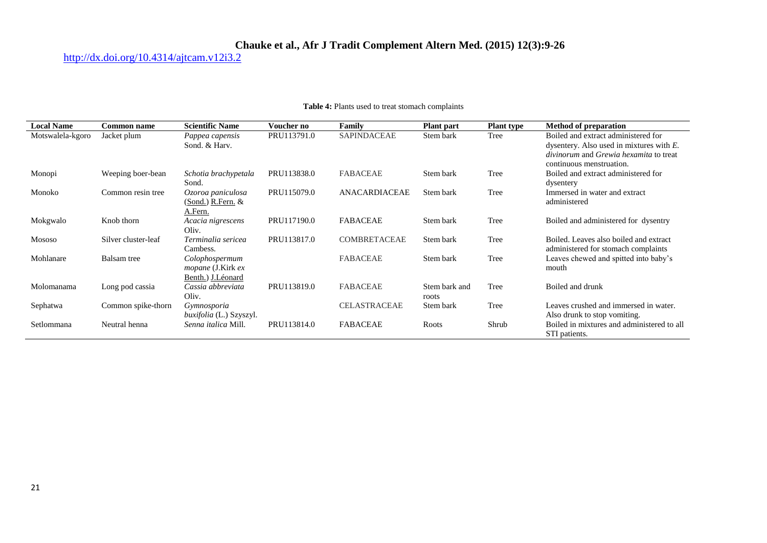## <http://dx.doi.org/10.4314/ajtcam.v12i3.2>

| <b>Local Name</b> | Common name         | <b>Scientific Name</b>                                   | Voucher no  | Family              | <b>Plant part</b>      | <b>Plant type</b> | <b>Method of preparation</b>                                                                                                                                           |
|-------------------|---------------------|----------------------------------------------------------|-------------|---------------------|------------------------|-------------------|------------------------------------------------------------------------------------------------------------------------------------------------------------------------|
| Motswalela-kgoro  | Jacket plum         | Pappea capensis<br>Sond. & Harv.                         | PRU113791.0 | <b>SAPINDACEAE</b>  | Stem bark              | Tree              | Boiled and extract administered for<br>dysentery. Also used in mixtures with $E$ .<br><i>divinorum</i> and <i>Grewia hexamita</i> to treat<br>continuous menstruation. |
| Monopi            | Weeping boer-bean   | Schotia brachypetala<br>Sond.                            | PRU113838.0 | <b>FABACEAE</b>     | Stem bark              | Tree              | Boiled and extract administered for<br>dysentery                                                                                                                       |
| Monoko            | Common resin tree   | Ozoroa paniculosa<br>$(Sond.)$ R.Fern. $&$<br>A.Fern.    | PRU115079.0 | ANACARDIACEAE       | Stem bark              | Tree              | Immersed in water and extract<br>administered                                                                                                                          |
| Mokgwalo          | Knob thorn          | Acacia nigrescens<br>Oliv.                               | PRU117190.0 | <b>FABACEAE</b>     | Stem bark              | Tree              | Boiled and administered for dysentry                                                                                                                                   |
| <b>Mososo</b>     | Silver cluster-leaf | Terminalia sericea<br>Cambess.                           | PRU113817.0 | <b>COMBRETACEAE</b> | Stem bark              | Tree              | Boiled. Leaves also boiled and extract<br>administered for stomach complaints                                                                                          |
| Mohlanare         | Balsam tree         | Colophospermum<br>mopane (J.Kirk ex<br>Benth.) J.Léonard |             | <b>FABACEAE</b>     | Stem bark              | Tree              | Leaves chewed and spitted into baby's<br>mouth                                                                                                                         |
| Molomanama        | Long pod cassia     | Cassia abbreviata<br>Oliv.                               | PRU113819.0 | <b>FABACEAE</b>     | Stem bark and<br>roots | Tree              | Boiled and drunk                                                                                                                                                       |
| Sephatwa          | Common spike-thorn  | Gymnosporia<br><i>buxifolia</i> (L.) Szyszyl.            |             | <b>CELASTRACEAE</b> | Stem bark              | Tree              | Leaves crushed and immersed in water.<br>Also drunk to stop vomiting.                                                                                                  |
| Setlommana        | Neutral henna       | Senna italica Mill.                                      | PRU113814.0 | <b>FABACEAE</b>     | Roots                  | Shrub             | Boiled in mixtures and administered to all<br>STI patients.                                                                                                            |

## **Table 4:** Plants used to treat stomach complaints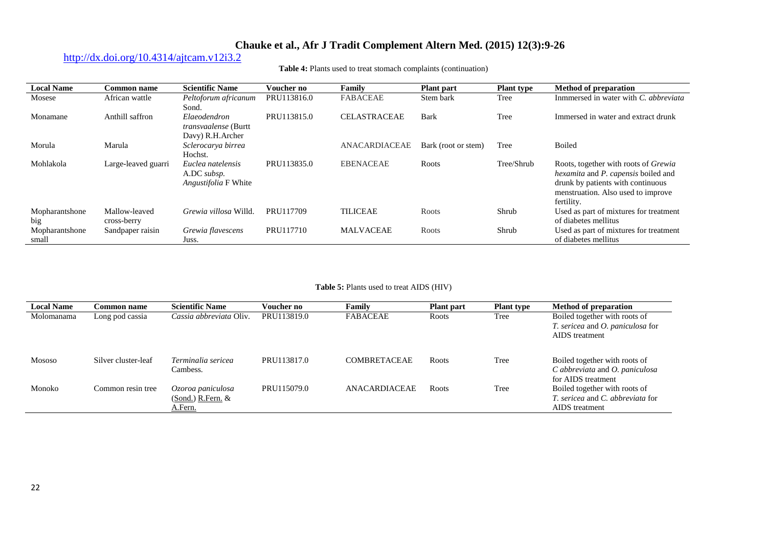## <http://dx.doi.org/10.4314/ajtcam.v12i3.2>

| <b>Local Name</b>       | <b>Common name</b>           | <b>Scientific Name</b>                                          | Voucher no  | Family              | <b>Plant part</b>   | <b>Plant type</b> | <b>Method of preparation</b>                                                                                                                                                |
|-------------------------|------------------------------|-----------------------------------------------------------------|-------------|---------------------|---------------------|-------------------|-----------------------------------------------------------------------------------------------------------------------------------------------------------------------------|
|                         |                              |                                                                 |             |                     |                     |                   |                                                                                                                                                                             |
| Mosese                  | African wattle               | Peltoforum africanum<br>Sond.                                   | PRU113816.0 | <b>FABACEAE</b>     | Stem bark           | Tree              | Inmmersed in water with C. abbreviata                                                                                                                                       |
| Monamane                | Anthill saffron              | Elaeodendron<br><i>transvaalense</i> (Burtt<br>Davy) R.H.Archer | PRU113815.0 | <b>CELASTRACEAE</b> | Bark                | Tree              | Immersed in water and extract drunk                                                                                                                                         |
| Morula                  | Marula                       | Sclerocarya birrea<br>Hochst.                                   |             | ANACARDIACEAE       | Bark (root or stem) | Tree              | <b>Boiled</b>                                                                                                                                                               |
| Mohlakola               | Large-leaved guarri          | Euclea natelensis<br>A.DC subsp.<br><i>Angustifolia</i> F White | PRU113835.0 | <b>EBENACEAE</b>    | Roots               | Tree/Shrub        | Roots, together with roots of <i>Grewia</i><br>hexamita and P. capensis boiled and<br>drunk by patients with continuous<br>menstruation. Also used to improve<br>fertility. |
| Mopharantshone<br>big   | Mallow-leaved<br>cross-berry | Grewia villosa Willd.                                           | PRU117709   | <b>TILICEAE</b>     | Roots               | Shrub             | Used as part of mixtures for treatment<br>of diabetes mellitus                                                                                                              |
| Mopharantshone<br>small | Sandpaper raisin             | Grewia flavescens<br>Juss.                                      | PRU117710   | <b>MALVACEAE</b>    | Roots               | Shrub             | Used as part of mixtures for treatment<br>of diabetes mellitus                                                                                                              |

**Table 4:** Plants used to treat stomach complaints (continuation)

## **Table 5:** Plants used to treat AIDS (HIV)

| <b>Local Name</b> | Common name         | <b>Scientific Name</b>                              | Voucher no  | Family              | <b>Plant part</b> | <b>Plant type</b> | <b>Method of preparation</b>                                                                      |
|-------------------|---------------------|-----------------------------------------------------|-------------|---------------------|-------------------|-------------------|---------------------------------------------------------------------------------------------------|
| Molomanama        | Long pod cassia     | Cassia abbreviata Oliv.                             | PRU113819.0 | <b>FABACEAE</b>     | Roots             | Tree              | Boiled together with roots of<br>T. sericea and O. paniculosa for<br>AIDS treatment               |
| <b>Mososo</b>     | Silver cluster-leaf | Terminalia sericea<br>Cambess.                      | PRU113817.0 | <b>COMBRETACEAE</b> | Roots             | Tree              | Boiled together with roots of<br>C abbreviata and O. paniculosa<br>for AIDS treatment             |
| Monoko            | Common resin tree   | Ozoroa paniculosa<br>(Sond.) R.Fern. $&$<br>A.Fern. | PRU115079.0 | ANACARDIACEAE       | Roots             | Tree              | Boiled together with roots of<br><i>T. sericea</i> and <i>C. abbreviata</i> for<br>AIDS treatment |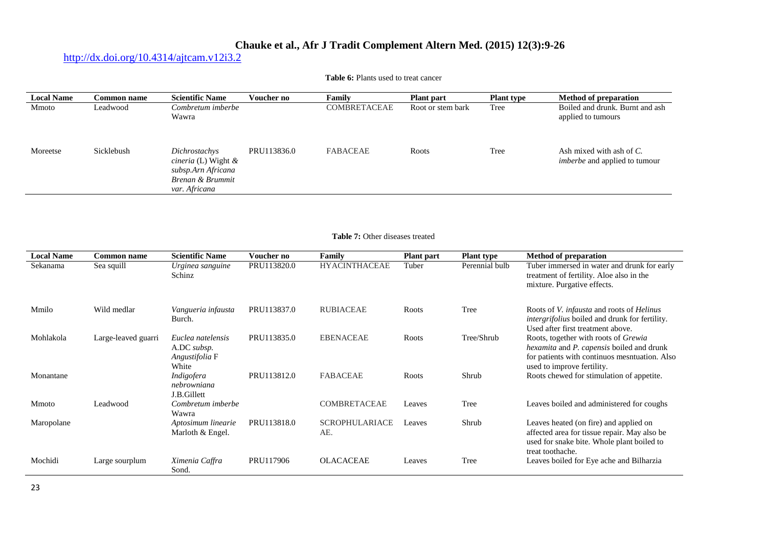## <http://dx.doi.org/10.4314/ajtcam.v12i3.2>

| <b>Table 6:</b> Plants used to treat cancer |
|---------------------------------------------|
|                                             |

| <b>Local Name</b> | <b>Common name</b> | <b>Scientific Name</b>                                                                                    | Voucher no  | Family       | <b>Plant part</b> | <b>Plant type</b> | <b>Method of preparation</b>                                        |
|-------------------|--------------------|-----------------------------------------------------------------------------------------------------------|-------------|--------------|-------------------|-------------------|---------------------------------------------------------------------|
| Mmoto             | Leadwood           | Combretum imberbe<br>Wawra                                                                                |             | COMBRETACEAE | Root or stem bark | Tree              | Boiled and drunk. Burnt and ash<br>applied to tumours               |
| Moreetse          | Sicklebush         | Dichrostachys<br><i>cineria</i> (L) Wight $\&$<br>subsp.Arn Africana<br>Brenan & Brummit<br>var. Africana | PRU113836.0 | FABACEAE     | Roots             | Tree              | Ash mixed with ash of $C$ .<br><i>imberbe</i> and applied to tumour |

## **Table 7:** Other diseases treated

| <b>Local Name</b> | <b>Common name</b>  | <b>Scientific Name</b>                                      | Voucher no  | Family                       | <b>Plant part</b> | <b>Plant type</b> | <b>Method of preparation</b>                                                                                                                                                          |
|-------------------|---------------------|-------------------------------------------------------------|-------------|------------------------------|-------------------|-------------------|---------------------------------------------------------------------------------------------------------------------------------------------------------------------------------------|
| Sekanama          | Sea squill          | Urginea sanguine<br>Schinz                                  | PRU113820.0 | <b>HYACINTHACEAE</b>         | Tuber             | Perennial bulb    | Tuber immersed in water and drunk for early<br>treatment of fertility. Aloe also in the<br>mixture. Purgative effects.                                                                |
| Mmilo             | Wild medlar         | Vangueria infausta<br>Burch.                                | PRU113837.0 | <b>RUBIACEAE</b>             | Roots             | Tree              | Roots of <i>V. infausta</i> and roots of <i>Helinus</i><br><i>intergrifolius</i> boiled and drunk for fertility.<br>Used after first treatment above.                                 |
| Mohlakola         | Large-leaved guarri | Euclea natelensis<br>A.DC subsp.<br>Angustifolia F<br>White | PRU113835.0 | <b>EBENACEAE</b>             | Roots             | Tree/Shrub        | Roots, together with roots of <i>Grewia</i><br><i>hexamita</i> and <i>P. capensis</i> boiled and drunk<br>for patients with continuos mesntuation. Also<br>used to improve fertility. |
| Monantane         |                     | Indigofera<br>nebrowniana<br>J.B.Gillett                    | PRU113812.0 | <b>FABACEAE</b>              | Roots             | Shrub             | Roots chewed for stimulation of appetite.                                                                                                                                             |
| Mmoto             | Leadwood            | Combretum imberbe<br>Wawra                                  |             | <b>COMBRETACEAE</b>          | Leaves            | Tree              | Leaves boiled and administered for coughs                                                                                                                                             |
| Maropolane        |                     | Aptosimum linearie<br>Marloth & Engel.                      | PRU113818.0 | <b>SCROPHULARIACE</b><br>AE. | Leaves            | Shrub             | Leaves heated (on fire) and applied on<br>affected area for tissue repair. May also be<br>used for snake bite. Whole plant boiled to<br>treat toothache.                              |
| Mochidi           | Large sourplum      | Ximenia Caffra<br>Sond.                                     | PRU117906   | <b>OLACACEAE</b>             | Leaves            | Tree              | Leaves boiled for Eye ache and Bilharzia                                                                                                                                              |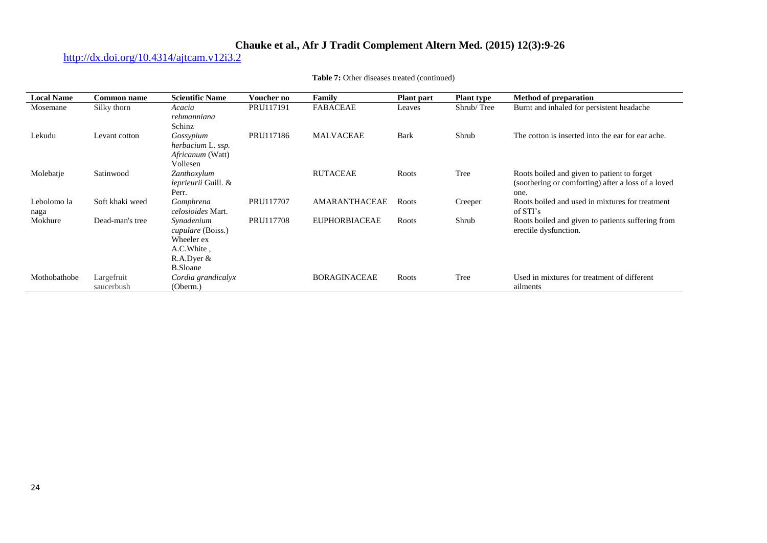## <http://dx.doi.org/10.4314/ajtcam.v12i3.2>

| <b>Local Name</b> | <b>Common name</b> | <b>Scientific Name</b>   | Voucher no | Family               | <b>Plant part</b> | <b>Plant type</b> | <b>Method of preparation</b>                       |
|-------------------|--------------------|--------------------------|------------|----------------------|-------------------|-------------------|----------------------------------------------------|
| Mosemane          | Silky thorn        | Acacia                   | PRU117191  | <b>FABACEAE</b>      | Leaves            | Shrub/Tree        | Burnt and inhaled for persistent headache          |
|                   |                    | rehmanniana              |            |                      |                   |                   |                                                    |
|                   |                    | Schinz                   |            |                      |                   |                   |                                                    |
| Lekudu            | Levant cotton      | Gossypium                | PRU117186  | <b>MALVACEAE</b>     | <b>Bark</b>       | Shrub             | The cotton is inserted into the ear for ear ache.  |
|                   |                    | herbacium L. ssp.        |            |                      |                   |                   |                                                    |
|                   |                    | Africanum (Watt)         |            |                      |                   |                   |                                                    |
|                   |                    | Vollesen                 |            |                      |                   |                   |                                                    |
| Molebatje         | Satinwood          | Zanthoxylum              |            | <b>RUTACEAE</b>      | Roots             | Tree              | Roots boiled and given to patient to forget        |
|                   |                    | leprieurii Guill. &      |            |                      |                   |                   | (soothering or comforting) after a loss of a loved |
|                   |                    | Perr.                    |            |                      |                   |                   | one.                                               |
| Lebolomo la       | Soft khaki weed    | Gomphrena                | PRU117707  | AMARANTHACEAE        | Roots             | Creeper           | Roots boiled and used in mixtures for treatment    |
| naga              |                    | celosioides Mart.        |            |                      |                   |                   | of STI's                                           |
| Mokhure           | Dead-man's tree    | Synadenium               | PRU117708  | <b>EUPHORBIACEAE</b> | Roots             | Shrub             | Roots boiled and given to patients suffering from  |
|                   |                    | <i>cupulare</i> (Boiss.) |            |                      |                   |                   | erectile dysfunction.                              |
|                   |                    | Wheeler ex               |            |                      |                   |                   |                                                    |
|                   |                    | A.C.White,               |            |                      |                   |                   |                                                    |
|                   |                    | $R.A.D$ ver $&$          |            |                      |                   |                   |                                                    |
|                   |                    | <b>B.Sloane</b>          |            |                      |                   |                   |                                                    |
| Mothobathobe      | Largefruit         | Cordia grandicalyx       |            | <b>BORAGINACEAE</b>  | Roots             | Tree              | Used in mixtures for treatment of different        |
|                   | saucerbush         | (Oberm.)                 |            |                      |                   |                   | ailments                                           |

**Table 7:** Other diseases treated (continued)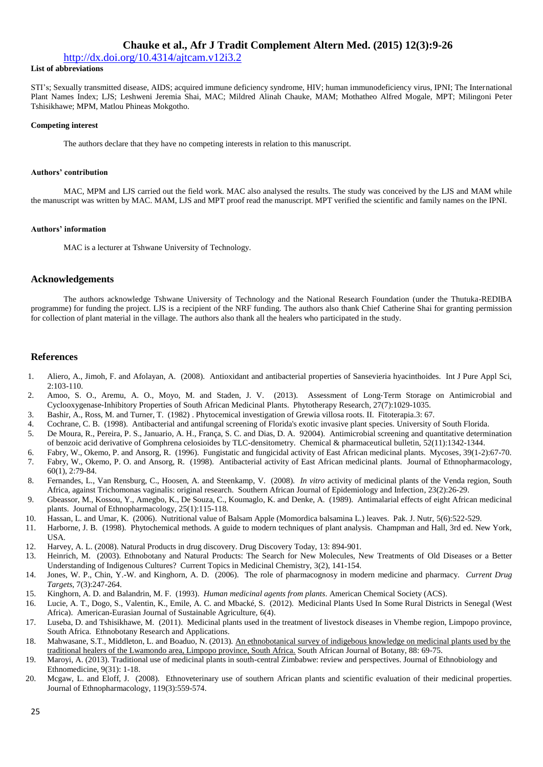<http://dx.doi.org/10.4314/ajtcam.v12i3.2>

#### **List of abbreviations**

STI's; Sexually transmitted disease, AIDS; acquired immune deficiency syndrome, HIV; human immunodeficiency virus, IPNI; The International Plant Names Index; LJS; Leshweni Jeremia Shai, MAC; Mildred Alinah Chauke, MAM; Mothatheo Alfred Mogale, MPT; Milingoni Peter Tshisikhawe; MPM, Matlou Phineas Mokgotho.

#### **Competing interest**

The authors declare that they have no competing interests in relation to this manuscript.

#### **Authors' contribution**

MAC, MPM and LJS carried out the field work. MAC also analysed the results. The study was conceived by the LJS and MAM while the manuscript was written by MAC. MAM, LJS and MPT proof read the manuscript. MPT verified the scientific and family names on the IPNI.

#### **Authors' information**

MAC is a lecturer at Tshwane University of Technology.

#### **Acknowledgements**

The authors acknowledge Tshwane University of Technology and the National Research Foundation (under the Thutuka-REDIBA programme) for funding the project. LJS is a recipient of the NRF funding. The authors also thank Chief Catherine Shai for granting permission for collection of plant material in the village. The authors also thank all the healers who participated in the study.

#### **References**

- 1. Aliero, A., Jimoh, F. and Afolayan, A. (2008). Antioxidant and antibacterial properties of Sansevieria hyacinthoides. Int J Pure Appl Sci,  $2:103-110$
- 2. Amoo, S. O., Aremu, A. O., Moyo, M. and Staden, J. V. (2013). Assessment of Long‐Term Storage on Antimicrobial and Cyclooxygenase‐Inhibitory Properties of South African Medicinal Plants. Phytotherapy Research*,* 27(7):1029-1035.
- 3. Bashir, A., Ross, M. and Turner, T. (1982) . Phytocemical investigation of Grewia villosa roots. II. Fitoterapia.3: 67.
- 4. Cochrane, C. B. (1998). Antibacterial and antifungal screening of Florida's exotic invasive plant species*.* University of South Florida.
- 5. De Moura, R., Pereira, P. S., Januario, A. H., França, S. C. and Dias, D. A. 92004). Antimicrobial screening and quantitative determination of benzoic acid derivative of Gomphrena celosioides by TLC-densitometry. Chemical & pharmaceutical bulletin, 52(11):1342-1344.
- 6. Fabry, W., Okemo, P. and Ansorg, R. (1996). Fungistatic and fungicidal activity of East African medicinal plants. Mycoses*,* 39(1-2):67-70.
- 7. Fabry, W., Okemo, P. O. and Ansorg, R. (1998). Antibacterial activity of East African medicinal plants. Journal of Ethnopharmacology, 60(1), 2:79-84.
- 8. Fernandes, L., Van Rensburg, C., Hoosen, A. and Steenkamp, V. (2008). *In vitro* activity of medicinal plants of the Venda region, South Africa, against Trichomonas vaginalis: original research. Southern African Journal of Epidemiology and Infection*,* 23(2):26-29.
- 9. Gbeassor, M., Kossou, Y., Amegbo, K., De Souza, C., Koumaglo, K. and Denke, A. (1989). Antimalarial effects of eight African medicinal plants. Journal of Ethnopharmacology, 25(1):115-118.
- 10. Hassan, L. and Umar, K. (2006). Nutritional value of Balsam Apple (Momordica balsamina L.) leaves. Pak. J. Nutr, 5(6):522-529.
- 11. Harborne, J. B. (1998). Phytochemical methods. A guide to modern techniques of plant analysis. Champman and Hall, 3rd ed. New York, USA.
- 12. Harvey, A. L. (2008). Natural Products in drug discovery. Drug Discovery Today, 13: 894-901.
- 13. Heinrich, M. (2003). Ethnobotany and Natural Products: The Search for New Molecules, New Treatments of Old Diseases or a Better Understanding of Indigenous Cultures? Current Topics in Medicinal Chemistry, 3(2), 141-154.
- 14. Jones, W. P., Chin, Y.-W. and Kinghorn, A. D. (2006). The role of pharmacognosy in modern medicine and pharmacy. *Current Drug Targets,* 7(3):247-264.
- 15. Kinghorn, A. D. and Balandrin, M. F. (1993). *Human medicinal agents from plants*. American Chemical Society (ACS).
- 16. Lucie, A. T., Dogo, S., Valentin, K., Emile, A. C. and Mbacké, S. (2012). Medicinal Plants Used In Some Rural Districts in Senegal (West Africa). American-Eurasian Journal of Sustainable Agriculture, 6(4).
- 17. Luseba, D. and Tshisikhawe, M. (2011). Medicinal plants used in the treatment of livestock diseases in Vhembe region, Limpopo province, South Africa. Ethnobotany Research and Applications.
- 18. Mahwasane, S.T., Middleton, L. and Boaduo, N. (2013). An ethnobotanical survey of indigebous knowledge on medicinal plants used by the traditional healers of the Lwamondo area, Limpopo province, South Africa. South African Journal of Botany, 88: 69-75.
- 19. Maroyi, A. (2013). Traditional use of medicinal plants in south-central Zimbabwe: review and perspectives. Journal of Ethnobiology and Ethnomedicine, 9(31): 1-18.
- 20. Mcgaw, L. and Eloff, J. (2008). Ethnoveterinary use of southern African plants and scientific evaluation of their medicinal properties. Journal of Ethnopharmacology, 119(3):559-574.